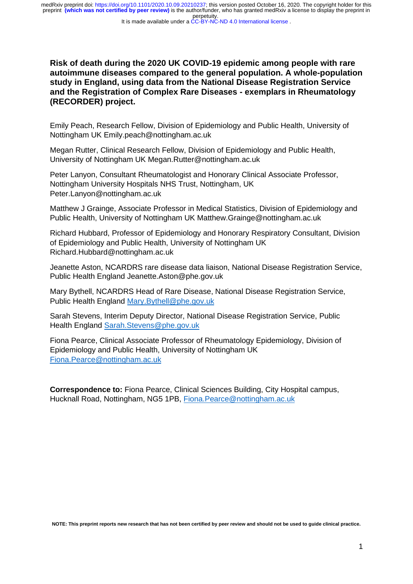It is made available under a [CC-BY-NC-ND 4.0 International license](http://creativecommons.org/licenses/by-nc-nd/4.0/) .

**Risk of death during the 2020 UK COVID-19 epidemic among people with rare autoimmune diseases compared to the general population. A whole-population study in England, using data from the National Disease Registration Service and the Registration of Complex Rare Diseases - exemplars in Rheumatology (RECORDER) project.**

Emily Peach, Research Fellow, Division of Epidemiology and Public Health, University of Nottingham UK Emily.peach@nottingham.ac.uk

Megan Rutter, Clinical Research Fellow, Division of Epidemiology and Public Health, University of Nottingham UK Megan.Rutter@nottingham.ac.uk

Peter Lanyon, Consultant Rheumatologist and Honorary Clinical Associate Professor, Nottingham University Hospitals NHS Trust, Nottingham, UK Peter.Lanyon@nottingham.ac.uk

Matthew J Grainge, Associate Professor in Medical Statistics, Division of Epidemiology and Public Health, University of Nottingham UK Matthew.Grainge@nottingham.ac.uk

Richard Hubbard, Professor of Epidemiology and Honorary Respiratory Consultant, Division of Epidemiology and Public Health, University of Nottingham UK Richard.Hubbard@nottingham.ac.uk

Jeanette Aston, NCARDRS rare disease data liaison, National Disease Registration Service, Public Health England Jeanette.Aston@phe.gov.uk

Mary Bythell, NCARDRS Head of Rare Disease, National Disease Registration Service, Public Health England [Mary.Bythell@phe.gov.uk](mailto:Mary.Bythell@phe.gov.uk)

Sarah Stevens, Interim Deputy Director, National Disease Registration Service, Public Health England [Sarah.Stevens@phe.gov.uk](mailto:Sarah.Stevens@phe.gov.uk)

Fiona Pearce, Clinical Associate Professor of Rheumatology Epidemiology, Division of Epidemiology and Public Health, University of Nottingham UK [Fiona.Pearce@nottingham.ac.uk](mailto:Fiona.Pearce@nottingham.ac.uk)

**Correspondence to:** Fiona Pearce, Clinical Sciences Building, City Hospital campus, Hucknall Road, Nottingham, NG5 1PB, [Fiona.Pearce@nottingham.ac.uk](mailto:Fiona.Pearce@nottingham.ac.uk)

**NOTE: This preprint reports new research that has not been certified by peer review and should not be used to guide clinical practice.**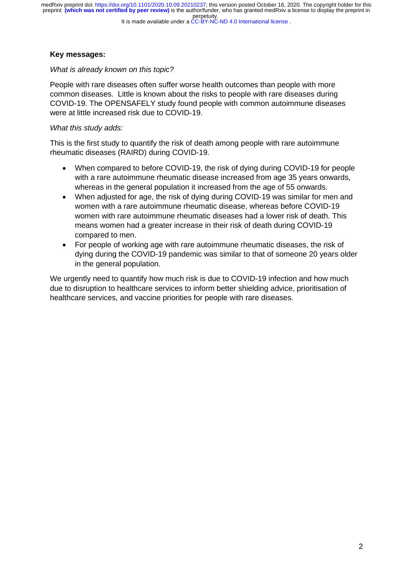# **Key messages:**

# *What is already known on this topic?*

People with rare diseases often suffer worse health outcomes than people with more common diseases. Little is known about the risks to people with rare diseases during COVID-19. The OPENSAFELY study found people with common autoimmune diseases were at little increased risk due to COVID-19.

# *What this study adds:*

This is the first study to quantify the risk of death among people with rare autoimmune rheumatic diseases (RAIRD) during COVID-19.

- When compared to before COVID-19, the risk of dying during COVID-19 for people with a rare autoimmune rheumatic disease increased from age 35 years onwards, whereas in the general population it increased from the age of 55 onwards.
- When adjusted for age, the risk of dying during COVID-19 was similar for men and women with a rare autoimmune rheumatic disease, whereas before COVID-19 women with rare autoimmune rheumatic diseases had a lower risk of death. This means women had a greater increase in their risk of death during COVID-19 compared to men.
- For people of working age with rare autoimmune rheumatic diseases, the risk of dying during the COVID-19 pandemic was similar to that of someone 20 years older in the general population.

We urgently need to quantify how much risk is due to COVID-19 infection and how much due to disruption to healthcare services to inform better shielding advice, prioritisation of healthcare services, and vaccine priorities for people with rare diseases.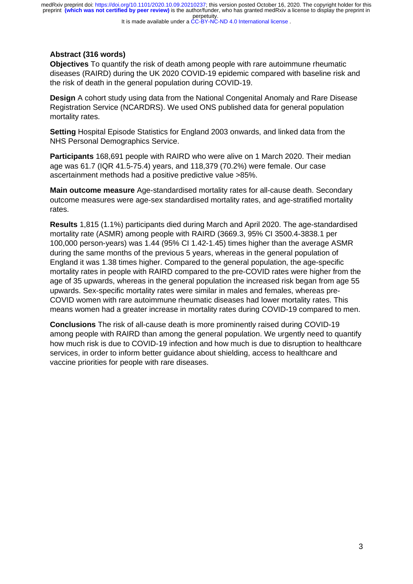It is made available under a [CC-BY-NC-ND 4.0 International license](http://creativecommons.org/licenses/by-nc-nd/4.0/) .

# **Abstract (316 words)**

**Objectives** To quantify the risk of death among people with rare autoimmune rheumatic diseases (RAIRD) during the UK 2020 COVID-19 epidemic compared with baseline risk and the risk of death in the general population during COVID-19.

**Design** A cohort study using data from the National Congenital Anomaly and Rare Disease Registration Service (NCARDRS). We used ONS published data for general population mortality rates.

**Setting** Hospital Episode Statistics for England 2003 onwards, and linked data from the NHS Personal Demographics Service.

**Participants** 168,691 people with RAIRD who were alive on 1 March 2020. Their median age was 61.7 (IQR 41.5-75.4) years, and 118,379 (70.2%) were female. Our case ascertainment methods had a positive predictive value >85%.

**Main outcome measure** Age-standardised mortality rates for all-cause death. Secondary outcome measures were age-sex standardised mortality rates, and age-stratified mortality rates.

**Results** 1,815 (1.1%) participants died during March and April 2020. The age-standardised mortality rate (ASMR) among people with RAIRD (3669.3, 95% CI 3500.4-3838.1 per 100,000 person-years) was 1.44 (95% CI 1.42-1.45) times higher than the average ASMR during the same months of the previous 5 years, whereas in the general population of England it was 1.38 times higher. Compared to the general population, the age-specific mortality rates in people with RAIRD compared to the pre-COVID rates were higher from the age of 35 upwards, whereas in the general population the increased risk began from age 55 upwards. Sex-specific mortality rates were similar in males and females, whereas pre-COVID women with rare autoimmune rheumatic diseases had lower mortality rates. This means women had a greater increase in mortality rates during COVID-19 compared to men.

**Conclusions** The risk of all-cause death is more prominently raised during COVID-19 among people with RAIRD than among the general population. We urgently need to quantify how much risk is due to COVID-19 infection and how much is due to disruption to healthcare services, in order to inform better guidance about shielding, access to healthcare and vaccine priorities for people with rare diseases.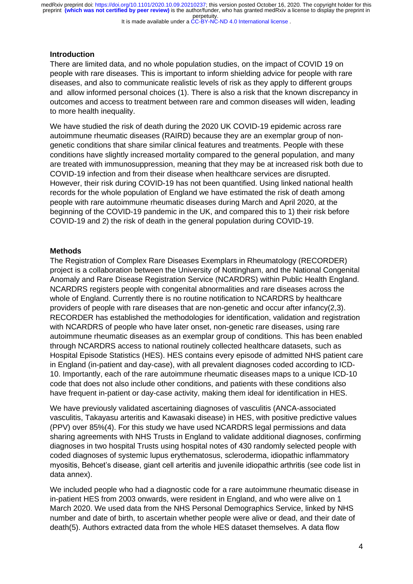It is made available under a [CC-BY-NC-ND 4.0 International license](http://creativecommons.org/licenses/by-nc-nd/4.0/) .

#### **Introduction**

There are limited data, and no whole population studies, on the impact of COVID 19 on people with rare diseases. This is important to inform shielding advice for people with rare diseases, and also to communicate realistic levels of risk as they apply to different groups and allow informed personal choices (1). There is also a risk that the known discrepancy in outcomes and access to treatment between rare and common diseases will widen, leading to more health inequality.

We have studied the risk of death during the 2020 UK COVID-19 epidemic across rare autoimmune rheumatic diseases (RAIRD) because they are an exemplar group of nongenetic conditions that share similar clinical features and treatments. People with these conditions have slightly increased mortality compared to the general population, and many are treated with immunosuppression, meaning that they may be at increased risk both due to COVID-19 infection and from their disease when healthcare services are disrupted. However, their risk during COVID-19 has not been quantified. Using linked national health records for the whole population of England we have estimated the risk of death among people with rare autoimmune rheumatic diseases during March and April 2020, at the beginning of the COVID-19 pandemic in the UK, and compared this to 1) their risk before COVID-19 and 2) the risk of death in the general population during COVID-19.

#### **Methods**

The Registration of Complex Rare Diseases Exemplars in Rheumatology (RECORDER) project is a collaboration between the University of Nottingham, and the National Congenital Anomaly and Rare Disease Registration Service (NCARDRS) within Public Health England. NCARDRS registers people with congenital abnormalities and rare diseases across the whole of England. Currently there is no routine notification to NCARDRS by healthcare providers of people with rare diseases that are non-genetic and occur after infancy(2,3). RECORDER has established the methodologies for identification, validation and registration with NCARDRS of people who have later onset, non-genetic rare diseases, using rare autoimmune rheumatic diseases as an exemplar group of conditions. This has been enabled through NCARDRS access to national routinely collected healthcare datasets, such as Hospital Episode Statistics (HES). HES contains every episode of admitted NHS patient care in England (in-patient and day-case), with all prevalent diagnoses coded according to ICD-10. Importantly, each of the rare autoimmune rheumatic diseases maps to a unique ICD-10 code that does not also include other conditions, and patients with these conditions also have frequent in-patient or day-case activity, making them ideal for identification in HES.

We have previously validated ascertaining diagnoses of vasculitis (ANCA-associated vasculitis, Takayasu arteritis and Kawasaki disease) in HES, with positive predictive values (PPV) over 85%(4). For this study we have used NCARDRS legal permissions and data sharing agreements with NHS Trusts in England to validate additional diagnoses, confirming diagnoses in two hospital Trusts using hospital notes of 430 randomly selected people with coded diagnoses of systemic lupus erythematosus, scleroderma, idiopathic inflammatory myositis, Behcet's disease, giant cell arteritis and juvenile idiopathic arthritis (see code list in data annex).

We included people who had a diagnostic code for a rare autoimmune rheumatic disease in in-patient HES from 2003 onwards, were resident in England, and who were alive on 1 March 2020. We used data from the NHS Personal Demographics Service, linked by NHS number and date of birth, to ascertain whether people were alive or dead, and their date of death(5). Authors extracted data from the whole HES dataset themselves. A data flow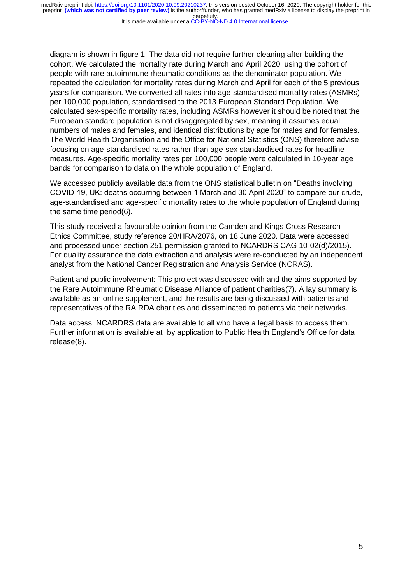It is made available under a [CC-BY-NC-ND 4.0 International license](http://creativecommons.org/licenses/by-nc-nd/4.0/) .

diagram is shown in figure 1. The data did not require further cleaning after building the cohort. We calculated the mortality rate during March and April 2020, using the cohort of people with rare autoimmune rheumatic conditions as the denominator population. We repeated the calculation for mortality rates during March and April for each of the 5 previous years for comparison. We converted all rates into age-standardised mortality rates (ASMRs) per 100,000 population, standardised to the 2013 European Standard Population. We calculated sex-specific mortality rates, including ASMRs however it should be noted that the European standard population is not disaggregated by sex, meaning it assumes equal numbers of males and females, and identical distributions by age for males and for females. The World Health Organisation and the Office for National Statistics (ONS) therefore advise focusing on age-standardised rates rather than age-sex standardised rates for headline measures. Age-specific mortality rates per 100,000 people were calculated in 10-year age bands for comparison to data on the whole population of England.

We accessed publicly available data from the ONS statistical bulletin on "Deaths involving COVID-19, UK: deaths occurring between 1 March and 30 April 2020" to compare our crude, age-standardised and age-specific mortality rates to the whole population of England during the same time period(6).

This study received a favourable opinion from the Camden and Kings Cross Research Ethics Committee, study reference 20/HRA/2076, on 18 June 2020. Data were accessed and processed under section 251 permission granted to NCARDRS CAG 10-02(d)/2015). For quality assurance the data extraction and analysis were re-conducted by an independent analyst from the National Cancer Registration and Analysis Service (NCRAS).

Patient and public involvement: This project was discussed with and the aims supported by the Rare Autoimmune Rheumatic Disease Alliance of patient charities(7). A lay summary is available as an online supplement, and the results are being discussed with patients and representatives of the RAIRDA charities and disseminated to patients via their networks.

Data access: NCARDRS data are available to all who have a legal basis to access them. Further information is available at by application to Public Health England's Office for data release(8).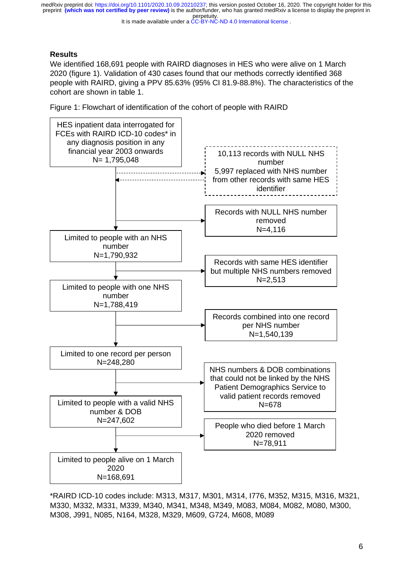It is made available under a [CC-BY-NC-ND 4.0 International license](http://creativecommons.org/licenses/by-nc-nd/4.0/) .

# **Results**

We identified 168,691 people with RAIRD diagnoses in HES who were alive on 1 March 2020 (figure 1). Validation of 430 cases found that our methods correctly identified 368 people with RAIRD, giving a PPV 85.63% (95% CI 81.9-88.8%). The characteristics of the cohort are shown in table 1.





\*RAIRD ICD-10 codes include: M313, M317, M301, M314, I776, M352, M315, M316, M321, M330, M332, M331, M339, M340, M341, M348, M349, M083, M084, M082, M080, M300, M308, J991, N085, N164, M328, M329, M609, G724, M608, M089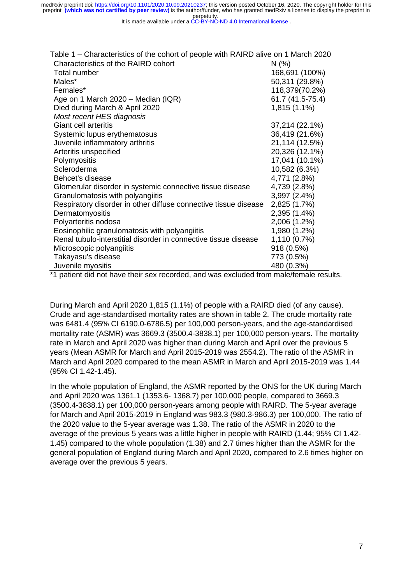It is made available under a [CC-BY-NC-ND 4.0 International license](http://creativecommons.org/licenses/by-nc-nd/4.0/) .

| uviv i<br>Ondiductionup of the condition people with ty the director invidible 2020 |                  |
|-------------------------------------------------------------------------------------|------------------|
| Characteristics of the RAIRD cohort                                                 | N(%)             |
| Total number                                                                        | 168,691 (100%)   |
| Males*                                                                              | 50,311 (29.8%)   |
| Females*                                                                            | 118,379(70.2%)   |
| Age on 1 March 2020 – Median (IQR)                                                  | 61.7 (41.5-75.4) |
| Died during March & April 2020                                                      | 1,815 (1.1%)     |
| Most recent HES diagnosis                                                           |                  |
| Giant cell arteritis                                                                | 37,214 (22.1%)   |
| Systemic lupus erythematosus                                                        | 36,419 (21.6%)   |
| Juvenile inflammatory arthritis                                                     | 21,114 (12.5%)   |
| Arteritis unspecified                                                               | 20,326 (12.1%)   |
| Polymyositis                                                                        | 17,041 (10.1%)   |
| Scleroderma                                                                         | 10,582 (6.3%)    |
| Behcet's disease                                                                    | 4,771 (2.8%)     |
| Glomerular disorder in systemic connective tissue disease                           | 4,739 (2.8%)     |
| Granulomatosis with polyangiitis                                                    | 3,997 (2.4%)     |
| Respiratory disorder in other diffuse connective tissue disease                     | 2,825 (1.7%)     |
| Dermatomyositis                                                                     | 2,395 (1.4%)     |
| Polyarteritis nodosa                                                                | 2,006 (1.2%)     |
| Eosinophilic granulomatosis with polyangiitis                                       | 1,980 (1.2%)     |
| Renal tubulo-interstitial disorder in connective tissue disease                     | 1,110 (0.7%)     |
| Microscopic polyangiitis                                                            | 918 (0.5%)       |
| Takayasu's disease                                                                  | 773 (0.5%)       |
| Juvenile myositis                                                                   | 480 (0.3%)       |

|  | Table 1 – Characteristics of the cohort of people with RAIRD alive on 1 March 2020 |  |
|--|------------------------------------------------------------------------------------|--|
|--|------------------------------------------------------------------------------------|--|

\*1 patient did not have their sex recorded, and was excluded from male/female results.

During March and April 2020 1,815 (1.1%) of people with a RAIRD died (of any cause). Crude and age-standardised mortality rates are shown in table 2. The crude mortality rate was 6481.4 (95% CI 6190.0-6786.5) per 100,000 person-years, and the age-standardised mortality rate (ASMR) was 3669.3 (3500.4-3838.1) per 100,000 person-years. The mortality rate in March and April 2020 was higher than during March and April over the previous 5 years (Mean ASMR for March and April 2015-2019 was 2554.2). The ratio of the ASMR in March and April 2020 compared to the mean ASMR in March and April 2015-2019 was 1.44 (95% CI 1.42-1.45).

In the whole population of England, the ASMR reported by the ONS for the UK during March and April 2020 was 1361.1 (1353.6- 1368.7) per 100,000 people, compared to 3669.3 (3500.4-3838.1) per 100,000 person-years among people with RAIRD. The 5-year average for March and April 2015-2019 in England was 983.3 (980.3-986.3) per 100,000. The ratio of the 2020 value to the 5-year average was 1.38. The ratio of the ASMR in 2020 to the average of the previous 5 years was a little higher in people with RAIRD (1.44; 95% CI 1.42- 1.45) compared to the whole population (1.38) and 2.7 times higher than the ASMR for the general population of England during March and April 2020, compared to 2.6 times higher on average over the previous 5 years.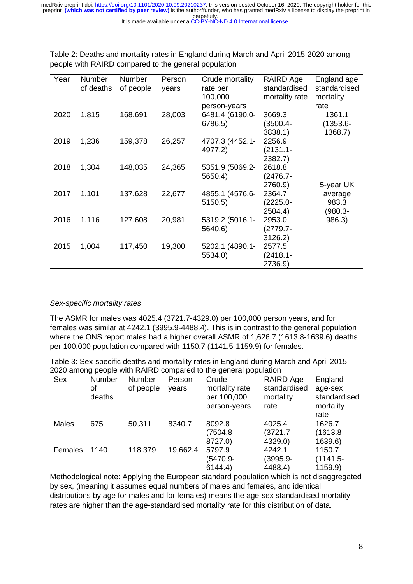#### It is made available under a [CC-BY-NC-ND 4.0 International license](http://creativecommons.org/licenses/by-nc-nd/4.0/) .

| Year | Number    | Number    | Person | Crude mortality | RAIRD Age      | England age  |
|------|-----------|-----------|--------|-----------------|----------------|--------------|
|      | of deaths | of people | years  | rate per        | standardised   | standardised |
|      |           |           |        | 100,000         | mortality rate | mortality    |
|      |           |           |        | person-years    |                | rate         |
| 2020 | 1,815     | 168,691   | 28,003 | 6481.4 (6190.0- | 3669.3         | 1361.1       |
|      |           |           |        | 6786.5)         | (3500.4-       | $(1353.6 -$  |
|      |           |           |        |                 | 3838.1)        | 1368.7)      |
| 2019 | 1,236     | 159,378   | 26,257 | 4707.3 (4452.1- | 2256.9         |              |
|      |           |           |        | 4977.2)         | $(2131.1 -$    |              |
|      |           |           |        |                 | 2382.7)        |              |
| 2018 | 1,304     | 148,035   | 24,365 | 5351.9 (5069.2- | 2618.8         |              |
|      |           |           |        | 5650.4)         | $(2476.7 -$    |              |
|      |           |           |        |                 | 2760.9)        | 5-year UK    |
| 2017 | 1,101     | 137,628   | 22,677 | 4855.1 (4576.6- | 2364.7         | average      |
|      |           |           |        | 5150.5)         | $(2225.0 -$    | 983.3        |
|      |           |           |        |                 | 2504.4)        | (980.3-      |
| 2016 | 1,116     | 127,608   | 20,981 | 5319.2 (5016.1- | 2953.0         | 986.3)       |
|      |           |           |        | 5640.6)         | $(2779.7 -$    |              |
|      |           |           |        |                 | 3126.2)        |              |
| 2015 | 1,004     | 117,450   | 19,300 | 5202.1 (4890.1- | 2577.5         |              |
|      |           |           |        | 5534.0)         | $(2418.1 -$    |              |
|      |           |           |        |                 | 2736.9)        |              |

Table 2: Deaths and mortality rates in England during March and April 2015-2020 among people with RAIRD compared to the general population

#### *Sex-specific mortality rates*

The ASMR for males was 4025.4 (3721.7-4329.0) per 100,000 person years, and for females was similar at 4242.1 (3995.9-4488.4). This is in contrast to the general population where the ONS report males had a higher overall ASMR of 1,626.7 (1613.8-1639.6) deaths per 100,000 population compared with 1150.7 (1141.5-1159.9) for females.

Table 3: Sex-specific deaths and mortality rates in England during March and April 2015- 2020 among people with RAIRD compared to the general population

| Sex          | Number | <b>Number</b> | Person   | Crude          | RAIRD Age         | England           |
|--------------|--------|---------------|----------|----------------|-------------------|-------------------|
|              | οf     | of people     | years    | mortality rate | standardised      | age-sex           |
|              | deaths |               |          | per 100,000    | mortality<br>rate | standardised      |
|              |        |               |          | person-years   |                   | mortality<br>rate |
| <b>Males</b> | 675    | 50,311        | 8340.7   | 8092.8         | 4025.4            | 1626.7            |
|              |        |               |          | (7504.8-       | $(3721.7 -$       | $(1613.8 -$       |
|              |        |               |          | 8727.0)        | 4329.0)           | 1639.6)           |
| Females      | 1140   | 118,379       | 19,662.4 | 5797.9         | 4242.1            | 1150.7            |
|              |        |               |          | (5470.9-       | $(3995.9 -$       | $(1141.5 -$       |
|              |        |               |          | 6144.4         | 4488.4)           | 1159.9)           |

Methodological note: Applying the European standard population which is not disaggregated by sex, (meaning it assumes equal numbers of males and females, and identical distributions by age for males and for females) means the age-sex standardised mortality rates are higher than the age-standardised mortality rate for this distribution of data.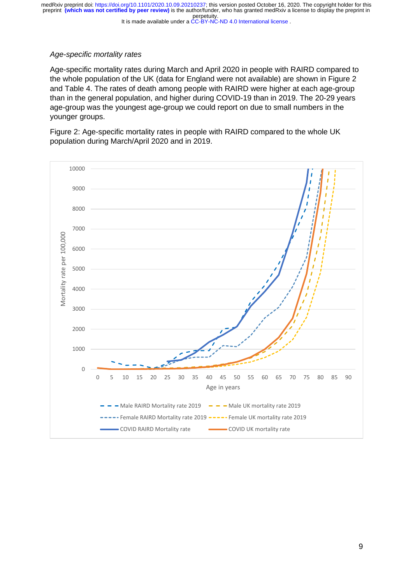It is made available under a [CC-BY-NC-ND 4.0 International license](http://creativecommons.org/licenses/by-nc-nd/4.0/) .

# *Age-specific mortality rates*

Age-specific mortality rates during March and April 2020 in people with RAIRD compared to the whole population of the UK (data for England were not available) are shown in Figure 2 and Table 4. The rates of death among people with RAIRD were higher at each age-group than in the general population, and higher during COVID-19 than in 2019. The 20-29 years age-group was the youngest age-group we could report on due to small numbers in the younger groups.

Figure 2: Age-specific mortality rates in people with RAIRD compared to the whole UK population during March/April 2020 and in 2019.

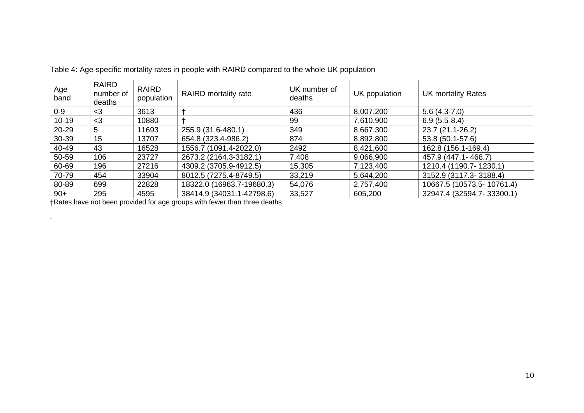| Age<br>band | RAIRD<br>number of<br>deaths | <b>RAIRD</b><br>population | <b>RAIRD</b> mortality rate | UK number of<br>deaths | UK population | <b>UK mortality Rates</b> |
|-------------|------------------------------|----------------------------|-----------------------------|------------------------|---------------|---------------------------|
| $0 - 9$     | $<$ 3                        | 3613                       |                             | 436                    | 8,007,200     | $5.6(4.3-7.0)$            |
| $10 - 19$   | $3$                          | 10880                      |                             | 99                     | 7,610,900     | $6.9(5.5-8.4)$            |
| 20-29       | 5                            | 11693                      | 255.9 (31.6-480.1)          | 349                    | 8,667,300     | 23.7 (21.1-26.2)          |
| 30-39       | 15                           | 13707                      | 654.8 (323.4-986.2)         | 874                    | 8,892,800     | 53.8 (50.1-57.6)          |
| 40-49       | 43                           | 16528                      | 1556.7 (1091.4-2022.0)      | 2492                   | 8,421,600     | 162.8 (156.1-169.4)       |
| 50-59       | 106                          | 23727                      | 2673.2 (2164.3-3182.1)      | 7,408                  | 9,066,900     | 457.9 (447.1-468.7)       |
| 60-69       | 196                          | 27216                      | 4309.2 (3705.9-4912.5)      | 15,305                 | 7,123,400     | 1210.4 (1190.7-1230.1)    |
| 70-79       | 454                          | 33904                      | 8012.5 (7275.4-8749.5)      | 33,219                 | 5,644,200     | 3152.9 (3117.3-3188.4)    |
| 80-89       | 699                          | 22828                      | 18322.0 (16963.7-19680.3)   | 54,076                 | 2,757,400     | 10667.5 (10573.5-10761.4) |
| $90+$       | 295                          | 4595                       | 38414.9 (34031.1-42798.6)   | 33,527                 | 605,200       | 32947.4 (32594.7-33300.1) |

Table 4: Age-specific mortality rates in people with RAIRD compared to the whole UK population

†Rates have not been provided for age groups with fewer than three deaths

.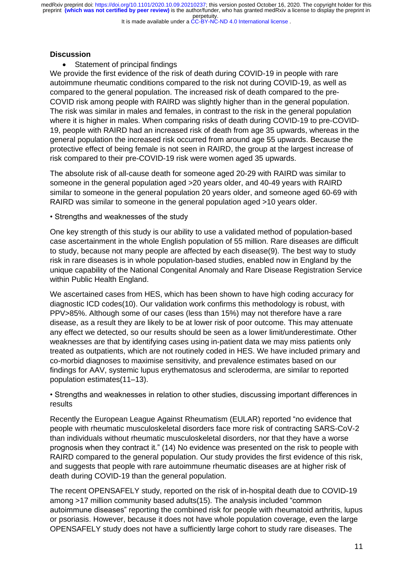It is made available under a [CC-BY-NC-ND 4.0 International license](http://creativecommons.org/licenses/by-nc-nd/4.0/) .

# **Discussion**

• Statement of principal findings

We provide the first evidence of the risk of death during COVID-19 in people with rare autoimmune rheumatic conditions compared to the risk not during COVID-19, as well as compared to the general population. The increased risk of death compared to the pre-COVID risk among people with RAIRD was slightly higher than in the general population. The risk was similar in males and females, in contrast to the risk in the general population where it is higher in males. When comparing risks of death during COVID-19 to pre-COVID-19, people with RAIRD had an increased risk of death from age 35 upwards, whereas in the general population the increased risk occurred from around age 55 upwards. Because the protective effect of being female is not seen in RAIRD, the group at the largest increase of risk compared to their pre-COVID-19 risk were women aged 35 upwards.

The absolute risk of all-cause death for someone aged 20-29 with RAIRD was similar to someone in the general population aged >20 years older, and 40-49 years with RAIRD similar to someone in the general population 20 years older, and someone aged 60-69 with RAIRD was similar to someone in the general population aged >10 years older.

• Strengths and weaknesses of the study

One key strength of this study is our ability to use a validated method of population-based case ascertainment in the whole English population of 55 million. Rare diseases are difficult to study, because not many people are affected by each disease(9). The best way to study risk in rare diseases is in whole population-based studies, enabled now in England by the unique capability of the National Congenital Anomaly and Rare Disease Registration Service within Public Health England.

We ascertained cases from HES, which has been shown to have high coding accuracy for diagnostic ICD codes(10). Our validation work confirms this methodology is robust, with PPV>85%. Although some of our cases (less than 15%) may not therefore have a rare disease, as a result they are likely to be at lower risk of poor outcome. This may attenuate any effect we detected, so our results should be seen as a lower limit/underestimate. Other weaknesses are that by identifying cases using in-patient data we may miss patients only treated as outpatients, which are not routinely coded in HES. We have included primary and co-morbid diagnoses to maximise sensitivity, and prevalence estimates based on our findings for AAV, systemic lupus erythematosus and scleroderma, are similar to reported population estimates(11–13).

• Strengths and weaknesses in relation to other studies, discussing important differences in results

Recently the European League Against Rheumatism (EULAR) reported "no evidence that people with rheumatic musculoskeletal disorders face more risk of contracting SARS-CoV-2 than individuals without rheumatic musculoskeletal disorders, nor that they have a worse prognosis when they contract it." (14) No evidence was presented on the risk to people with RAIRD compared to the general population. Our study provides the first evidence of this risk, and suggests that people with rare autoimmune rheumatic diseases are at higher risk of death during COVID-19 than the general population.

The recent OPENSAFELY study, reported on the risk of in-hospital death due to COVID-19 among >17 million community based adults(15). The analysis included "common autoimmune diseases" reporting the combined risk for people with rheumatoid arthritis, lupus or psoriasis. However, because it does not have whole population coverage, even the large OPENSAFELY study does not have a sufficiently large cohort to study rare diseases. The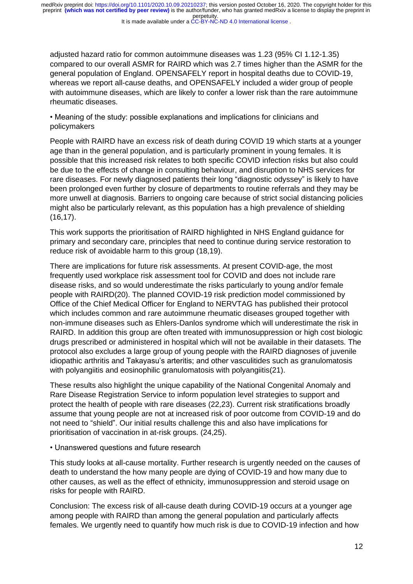It is made available under a [CC-BY-NC-ND 4.0 International license](http://creativecommons.org/licenses/by-nc-nd/4.0/) .

adjusted hazard ratio for common autoimmune diseases was 1.23 (95% CI 1.12-1.35) compared to our overall ASMR for RAIRD which was 2.7 times higher than the ASMR for the general population of England. OPENSAFELY report in hospital deaths due to COVID-19, whereas we report all-cause deaths, and OPENSAFELY included a wider group of people with autoimmune diseases, which are likely to confer a lower risk than the rare autoimmune rheumatic diseases.

• Meaning of the study: possible explanations and implications for clinicians and policymakers

People with RAIRD have an excess risk of death during COVID 19 which starts at a younger age than in the general population, and is particularly prominent in young females. It is possible that this increased risk relates to both specific COVID infection risks but also could be due to the effects of change in consulting behaviour, and disruption to NHS services for rare diseases. For newly diagnosed patients their long "diagnostic odyssey" is likely to have been prolonged even further by closure of departments to routine referrals and they may be more unwell at diagnosis. Barriers to ongoing care because of strict social distancing policies might also be particularly relevant, as this population has a high prevalence of shielding (16,17).

This work supports the prioritisation of RAIRD highlighted in NHS England guidance for primary and secondary care, principles that need to continue during service restoration to reduce risk of avoidable harm to this group (18,19).

There are implications for future risk assessments. At present COVID-age, the most frequently used workplace risk assessment tool for COVID and does not include rare disease risks, and so would underestimate the risks particularly to young and/or female people with RAIRD(20). The planned COVID-19 risk prediction model commissioned by Office of the Chief Medical Officer for England to NERVTAG has published their protocol which includes common and rare autoimmune rheumatic diseases grouped together with non-immune diseases such as Ehlers-Danlos syndrome which will underestimate the risk in RAIRD. In addition this group are often treated with immunosuppression or high cost biologic drugs prescribed or administered in hospital which will not be available in their datasets. The protocol also excludes a large group of young people with the RAIRD diagnoses of juvenile idiopathic arthritis and Takayasu's arteritis; and other vasculitides such as granulomatosis with polyangiitis and eosinophilic granulomatosis with polyangiitis(21).

These results also highlight the unique capability of the National Congenital Anomaly and Rare Disease Registration Service to inform population level strategies to support and protect the health of people with rare diseases (22,23). Current risk stratifications broadly assume that young people are not at increased risk of poor outcome from COVID-19 and do not need to "shield". Our initial results challenge this and also have implications for prioritisation of vaccination in at-risk groups. (24,25).

• Unanswered questions and future research

This study looks at all-cause mortality. Further research is urgently needed on the causes of death to understand the how many people are dying of COVID-19 and how many due to other causes, as well as the effect of ethnicity, immunosuppression and steroid usage on risks for people with RAIRD.

Conclusion: The excess risk of all-cause death during COVID-19 occurs at a younger age among people with RAIRD than among the general population and particularly affects females. We urgently need to quantify how much risk is due to COVID-19 infection and how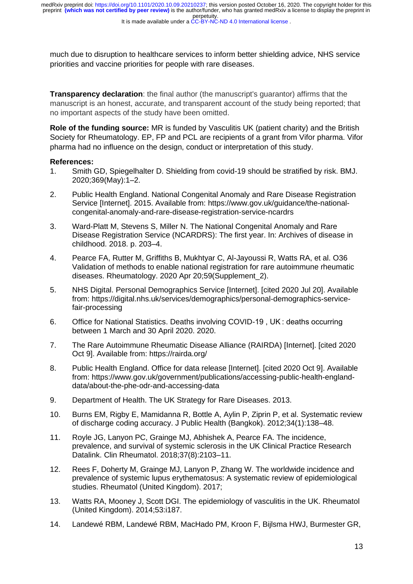much due to disruption to healthcare services to inform better shielding advice, NHS service priorities and vaccine priorities for people with rare diseases.

**Transparency declaration**: the final author (the manuscript's guarantor) affirms that the manuscript is an honest, accurate, and transparent account of the study being reported; that no important aspects of the study have been omitted.

**Role of the funding source:** MR is funded by Vasculitis UK (patient charity) and the British Society for Rheumatology. EP, FP and PCL are recipients of a grant from Vifor pharma. Vifor pharma had no influence on the design, conduct or interpretation of this study.

#### **References:**

- 1. Smith GD, Spiegelhalter D. Shielding from covid-19 should be stratified by risk. BMJ. 2020;369(May):1–2.
- 2. Public Health England. National Congenital Anomaly and Rare Disease Registration Service [Internet]. 2015. Available from: https://www.gov.uk/guidance/the-nationalcongenital-anomaly-and-rare-disease-registration-service-ncardrs
- 3. Ward-Platt M, Stevens S, Miller N. The National Congenital Anomaly and Rare Disease Registration Service (NCARDRS): The first year. In: Archives of disease in childhood. 2018. p. 203–4.
- 4. Pearce FA, Rutter M, Griffiths B, Mukhtyar C, Al-Jayoussi R, Watts RA, et al. O36 Validation of methods to enable national registration for rare autoimmune rheumatic diseases. Rheumatology. 2020 Apr 20;59(Supplement\_2).
- 5. NHS Digital. Personal Demographics Service [Internet]. [cited 2020 Jul 20]. Available from: https://digital.nhs.uk/services/demographics/personal-demographics-servicefair-processing
- 6. Office for National Statistics. Deaths involving COVID-19 , UK : deaths occurring between 1 March and 30 April 2020. 2020.
- 7. The Rare Autoimmune Rheumatic Disease Alliance (RAIRDA) [Internet]. [cited 2020 Oct 9]. Available from: https://rairda.org/
- 8. Public Health England. Office for data release [Internet]. [cited 2020 Oct 9]. Available from: https://www.gov.uk/government/publications/accessing-public-health-englanddata/about-the-phe-odr-and-accessing-data
- 9. Department of Health. The UK Strategy for Rare Diseases. 2013.
- 10. Burns EM, Rigby E, Mamidanna R, Bottle A, Aylin P, Ziprin P, et al. Systematic review of discharge coding accuracy. J Public Health (Bangkok). 2012;34(1):138–48.
- 11. Royle JG, Lanyon PC, Grainge MJ, Abhishek A, Pearce FA. The incidence, prevalence, and survival of systemic sclerosis in the UK Clinical Practice Research Datalink. Clin Rheumatol. 2018;37(8):2103–11.
- 12. Rees F, Doherty M, Grainge MJ, Lanyon P, Zhang W. The worldwide incidence and prevalence of systemic lupus erythematosus: A systematic review of epidemiological studies. Rheumatol (United Kingdom). 2017;
- 13. Watts RA, Mooney J, Scott DGI. The epidemiology of vasculitis in the UK. Rheumatol (United Kingdom). 2014;53:i187.
- 14. Landewé RBM, Landewé RBM, MacHado PM, Kroon F, Bijlsma HWJ, Burmester GR,